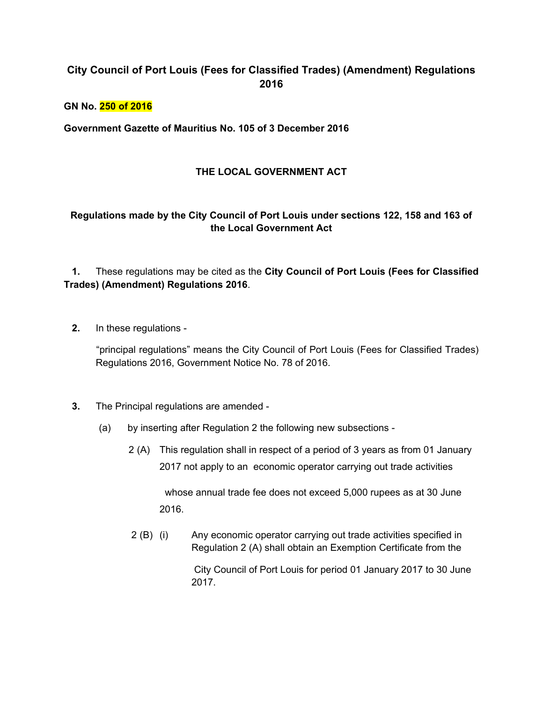## **City Council of Port Louis (Fees for Classified Trades) (Amendment) Regulations 2016**

**GN No. 250 of 2016**

**Government Gazette of Mauritius No. 105 of 3 December 2016**

## **THE LOCAL GOVERNMENT ACT**

## **Regulations made by the City Council of Port Louis under sections 122, 158 and 163 of the Local Government Act**

## **1.** These regulations may be cited as the **City Council of Port Louis (Fees for Classified Trades) (Amendment) Regulations 2016**.

 **2.** In these regulations -

 "principal regulations" means the City Council of Port Louis (Fees for Classified Trades) Regulations 2016, Government Notice No. 78 of 2016.

- **3.** The Principal regulations are amended
	- (a) by inserting after Regulation 2 the following new subsections
		- 2 (A) This regulation shall in respect of a period of 3 years as from 01 January 2017 not apply to an economic operator carrying out trade activities

 whose annual trade fee does not exceed 5,000 rupees as at 30 June 2016.

 2 (B) (i) Any economic operator carrying out trade activities specified in Regulation 2 (A) shall obtain an Exemption Certificate from the

> City Council of Port Louis for period 01 January 2017 to 30 June 2017.